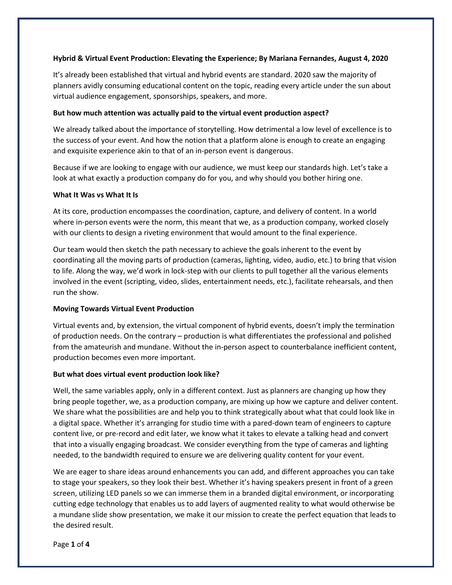### **Hybrid & Virtual Event Production: Elevating the Experience; By Mariana Fernandes, August 4, 2020**

It's already been established that virtual and hybrid events are standard. 2020 saw the majority of planners avidly consuming educational content on the topic, reading every article under the sun about virtual audience engagement, sponsorships, speakers, and more.

### **But how much attention was actually paid to the virtual event production aspect?**

We already talked about the importance of storytelling. How detrimental a low level of excellence is to the success of your event. And how the notion that a platform alone is enough to create an engaging and exquisite experience akin to that of an in-person event is dangerous.

Because if we are looking to engage with our audience, we must keep our standards high. Let's take a look at what exactly a production company do for you, and why should you bother hiring one.

### **What It Was vs What It Is**

At its core, production encompasses the coordination, capture, and delivery of content. In a world where in-person events were the norm, this meant that we, as a production company, worked closely with our clients to design a riveting environment that would amount to the final experience.

Our team would then sketch the path necessary to achieve the goals inherent to the event by coordinating all the moving parts of production (cameras, lighting, video, audio, etc.) to bring that vision to life. Along the way, we'd work in lock-step with our clients to pull together all the various elements involved in the event (scripting, video, slides, entertainment needs, etc.), facilitate rehearsals, and then run the show.

## **Moving Towards Virtual Event Production**

Virtual events and, by extension, the virtual component of hybrid events, doesn't imply the termination of production needs. On the contrary – production is what differentiates the professional and polished from the amateurish and mundane. Without the in-person aspect to counterbalance inefficient content, production becomes even more important.

### **But what does virtual event production look like?**

Well, the same variables apply, only in a different context. Just as planners are changing up how they bring people together, we, as a production company, are mixing up how we capture and deliver content. We share what the possibilities are and help you to think strategically about what that could look like in a digital space. Whether it's arranging for studio time with a pared-down team of engineers to capture content live, or pre-record and edit later, we know what it takes to elevate a talking head and convert that into a visually engaging broadcast. We consider everything from the type of cameras and lighting needed, to the bandwidth required to ensure we are delivering quality content for your event.

We are eager to share ideas around enhancements you can add, and different approaches you can take to stage your speakers, so they look their best. Whether it's having speakers present in front of a green screen, utilizing LED panels so we can immerse them in a branded digital environment, or incorporating cutting edge technology that enables us to add layers of augmented reality to what would otherwise be a mundane slide show presentation, we make it our mission to create the perfect equation that leads to the desired result.

Page **1** of **4**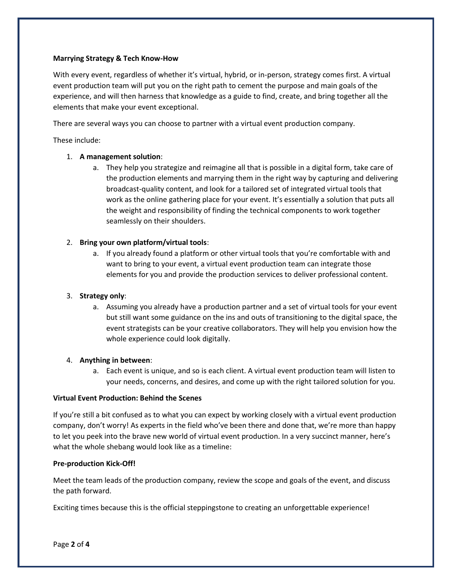## **Marrying Strategy & Tech Know-How**

With every event, regardless of whether it's virtual, hybrid, or in-person, strategy comes first. A virtual event production team will put you on the right path to cement the purpose and main goals of the experience, and will then harness that knowledge as a guide to find, create, and bring together all the elements that make your event exceptional.

There are several ways you can choose to partner with a virtual event production company.

These include:

# 1. **A management solution**:

a. They help you strategize and reimagine all that is possible in a digital form, take care of the production elements and marrying them in the right way by capturing and delivering broadcast-quality content, and look for a tailored set of integrated virtual tools that work as the online gathering place for your event. It's essentially a solution that puts all the weight and responsibility of finding the technical components to work together seamlessly on their shoulders.

# 2. **Bring your own platform/virtual tools**:

a. If you already found a platform or other virtual tools that you're comfortable with and want to bring to your event, a virtual event production team can integrate those elements for you and provide the production services to deliver professional content.

## 3. **Strategy only**:

a. Assuming you already have a production partner and a set of virtual tools for your event but still want some guidance on the ins and outs of transitioning to the digital space, the event strategists can be your creative collaborators. They will help you envision how the whole experience could look digitally.

## 4. **Anything in between**:

a. Each event is unique, and so is each client. A virtual event production team will listen to your needs, concerns, and desires, and come up with the right tailored solution for you.

## **Virtual Event Production: Behind the Scenes**

If you're still a bit confused as to what you can expect by working closely with a virtual event production company, don't worry! As experts in the field who've been there and done that, we're more than happy to let you peek into the brave new world of virtual event production. In a very succinct manner, here's what the whole shebang would look like as a timeline:

## **Pre-production Kick-Off!**

Meet the team leads of the production company, review the scope and goals of the event, and discuss the path forward.

Exciting times because this is the official steppingstone to creating an unforgettable experience!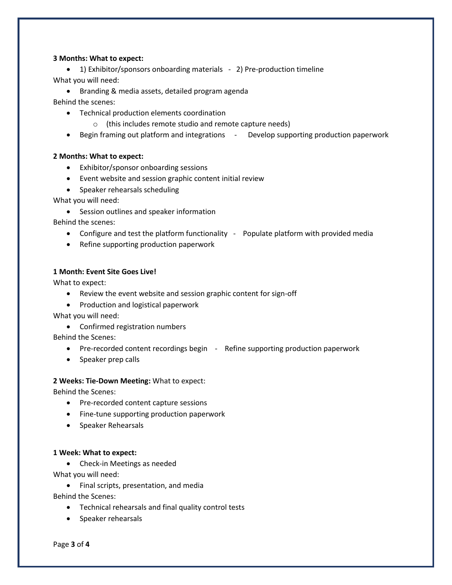### **3 Months: What to expect:**

• 1) Exhibitor/sponsors onboarding materials - 2) Pre-production timeline What you will need:

• Branding & media assets, detailed program agenda

Behind the scenes:

- Technical production elements coordination
	- o (this includes remote studio and remote capture needs)
- Begin framing out platform and integrations Develop supporting production paperwork

### **2 Months: What to expect:**

- Exhibitor/sponsor onboarding sessions
- Event website and session graphic content initial review
- Speaker rehearsals scheduling

What you will need:

• Session outlines and speaker information

Behind the scenes:

- Configure and test the platform functionality Populate platform with provided media
- Refine supporting production paperwork

## **1 Month: Event Site Goes Live!**

What to expect:

- Review the event website and session graphic content for sign-off
- Production and logistical paperwork

What you will need:

• Confirmed registration numbers

Behind the Scenes:

- Pre-recorded content recordings begin Refine supporting production paperwork
- Speaker prep calls

### **2 Weeks: Tie-Down Meeting:** What to expect:

Behind the Scenes:

- Pre-recorded content capture sessions
- Fine-tune supporting production paperwork
- Speaker Rehearsals

### **1 Week: What to expect:**

• Check-in Meetings as needed

What you will need:

• Final scripts, presentation, and media

Behind the Scenes:

- Technical rehearsals and final quality control tests
- Speaker rehearsals